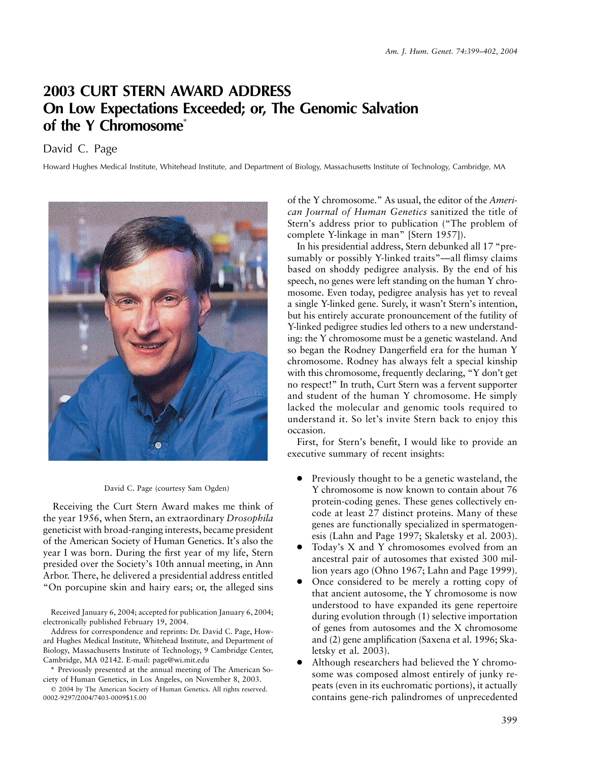## **2003 CURT STERN AWARD ADDRESS On Low Expectations Exceeded; or, The Genomic Salvation of the Y Chromosome**\*

David C. Page

Howard Hughes Medical Institute, Whitehead Institute, and Department of Biology, Massachusetts Institute of Technology, Cambridge, MA





Receiving the Curt Stern Award makes me think of the year 1956, when Stern, an extraordinary *Drosophila* geneticist with broad-ranging interests, became president of the American Society of Human Genetics. It's also the year I was born. During the first year of my life, Stern presided over the Society's 10th annual meeting, in Ann Arbor. There, he delivered a presidential address entitled "On porcupine skin and hairy ears; or, the alleged sins

Received January 6, 2004; accepted for publication January 6, 2004; electronically published February 19, 2004.

Address for correspondence and reprints: Dr. David C. Page, Howard Hughes Medical Institute, Whitehead Institute, and Department of Biology, Massachusetts Institute of Technology, 9 Cambridge Center, Cambridge, MA 02142. E-mail: page@wi.mit.edu

\* Previously presented at the annual meeting of The American Society of Human Genetics, in Los Angeles, on November 8, 2003.

 2004 by The American Society of Human Genetics. All rights reserved. 0002-9297/2004/7403-0009\$15.00

of the Y chromosome." As usual, the editor of the *American Journal of Human Genetics* sanitized the title of Stern's address prior to publication ("The problem of complete Y-linkage in man" [Stern 1957]).

In his presidential address, Stern debunked all 17 "presumably or possibly Y-linked traits"—all flimsy claims based on shoddy pedigree analysis. By the end of his speech, no genes were left standing on the human Y chromosome. Even today, pedigree analysis has yet to reveal a single Y-linked gene. Surely, it wasn't Stern's intention, but his entirely accurate pronouncement of the futility of Y-linked pedigree studies led others to a new understanding: the Y chromosome must be a genetic wasteland. And so began the Rodney Dangerfield era for the human Y chromosome. Rodney has always felt a special kinship with this chromosome, frequently declaring, "Y don't get no respect!" In truth, Curt Stern was a fervent supporter and student of the human Y chromosome. He simply lacked the molecular and genomic tools required to understand it. So let's invite Stern back to enjoy this occasion.

First, for Stern's benefit, I would like to provide an executive summary of recent insights:

- Previously thought to be a genetic wasteland, the Y chromosome is now known to contain about 76 protein-coding genes. These genes collectively encode at least 27 distinct proteins. Many of these genes are functionally specialized in spermatogenesis (Lahn and Page 1997; Skaletsky et al. 2003).
- Today's X and Y chromosomes evolved from an ancestral pair of autosomes that existed 300 million years ago (Ohno 1967; Lahn and Page 1999).
- Once considered to be merely a rotting copy of that ancient autosome, the Y chromosome is now understood to have expanded its gene repertoire during evolution through (1) selective importation of genes from autosomes and the X chromosome and (2) gene amplification (Saxena et al. 1996; Skaletsky et al. 2003).
- Although researchers had believed the Y chromosome was composed almost entirely of junky repeats (even in its euchromatic portions), it actually contains gene-rich palindromes of unprecedented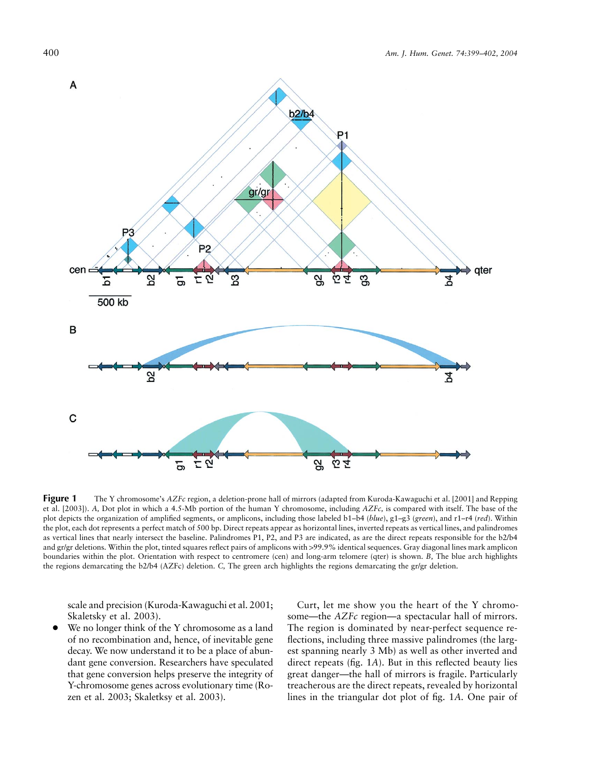

**Figure 1** The Y chromosome's *AZFc* region, a deletion-prone hall of mirrors (adapted from Kuroda-Kawaguchi et al. [2001] and Repping et al. [2003]). *A,* Dot plot in which a 4.5-Mb portion of the human Y chromosome, including *AZFc,* is compared with itself. The base of the plot depicts the organization of amplified segments, or amplicons, including those labeled b1–b4 (*blue*), g1–g3 (*green*), and r1–r4 (*red*). Within the plot, each dot represents a perfect match of 500 bp. Direct repeats appear as horizontal lines, inverted repeats as vertical lines, and palindromes as vertical lines that nearly intersect the baseline. Palindromes P1, P2, and P3 are indicated, as are the direct repeats responsible for the b2/b4 and gr/gr deletions. Within the plot, tinted squares reflect pairs of amplicons with >99.9% identical sequences. Gray diagonal lines mark amplicon boundaries within the plot. Orientation with respect to centromere (cen) and long-arm telomere (qter) is shown. *B,* The blue arch highlights the regions demarcating the b2/b4 (AZFc) deletion. *C,* The green arch highlights the regions demarcating the gr/gr deletion.

scale and precision (Kuroda-Kawaguchi et al. 2001; Skaletsky et al. 2003).

We no longer think of the Y chromosome as a land of no recombination and, hence, of inevitable gene decay. We now understand it to be a place of abundant gene conversion. Researchers have speculated that gene conversion helps preserve the integrity of Y-chromosome genes across evolutionary time (Rozen et al. 2003; Skaletksy et al. 2003).

Curt, let me show you the heart of the Y chromosome—the *AZFc* region—a spectacular hall of mirrors. The region is dominated by near-perfect sequence reflections, including three massive palindromes (the largest spanning nearly 3 Mb) as well as other inverted and direct repeats (fig. 1*A*). But in this reflected beauty lies great danger—the hall of mirrors is fragile. Particularly treacherous are the direct repeats, revealed by horizontal lines in the triangular dot plot of fig. 1*A.* One pair of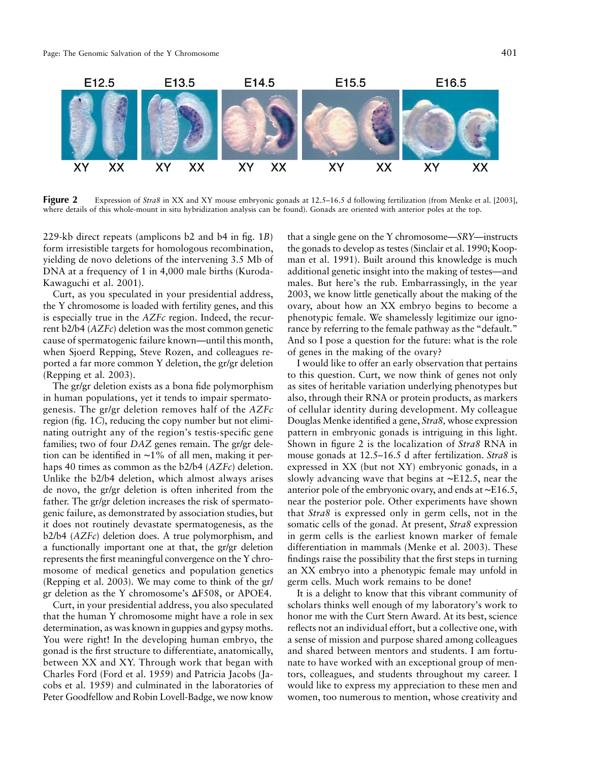

**Figure 2** Expression of *Stra8* in XX and XY mouse embryonic gonads at 12.5–16.5 d following fertilization (from Menke et al. [2003], where details of this whole-mount in situ hybridization analysis can be found). Gonads are oriented with anterior poles at the top.

229-kb direct repeats (amplicons b2 and b4 in fig. 1*B*) form irresistible targets for homologous recombination, yielding de novo deletions of the intervening 3.5 Mb of DNA at a frequency of 1 in 4,000 male births (Kuroda-Kawaguchi et al. 2001).

Curt, as you speculated in your presidential address, the Y chromosome is loaded with fertility genes, and this is especially true in the *AZFc* region. Indeed, the recurrent b2/b4 (*AZFc*) deletion was the most common genetic cause of spermatogenic failure known—until this month, when Sjoerd Repping, Steve Rozen, and colleagues reported a far more common Y deletion, the gr/gr deletion (Repping et al. 2003).

The gr/gr deletion exists as a bona fide polymorphism in human populations, yet it tends to impair spermatogenesis. The gr/gr deletion removes half of the *AZFc* region (fig. 1*C*), reducing the copy number but not eliminating outright any of the region's testis-specific gene families; two of four *DAZ* genes remain. The gr/gr deletion can be identified in ∼1% of all men, making it perhaps 40 times as common as the b2/b4 (*AZFc*) deletion. Unlike the b2/b4 deletion, which almost always arises de novo, the gr/gr deletion is often inherited from the father. The gr/gr deletion increases the risk of spermatogenic failure, as demonstrated by association studies, but it does not routinely devastate spermatogenesis, as the b2/b4 (*AZFc*) deletion does. A true polymorphism, and a functionally important one at that, the gr/gr deletion represents the first meaningful convergence on the Y chromosome of medical genetics and population genetics (Repping et al. 2003). We may come to think of the gr/ gr deletion as the Y chromosome's  $\Delta$ F508, or APOE4.

Curt, in your presidential address, you also speculated that the human Y chromosome might have a role in sex determination, as was known in guppies and gypsy moths. You were right! In the developing human embryo, the gonad is the first structure to differentiate, anatomically, between XX and XY. Through work that began with Charles Ford (Ford et al. 1959) and Patricia Jacobs (Jacobs et al. 1959) and culminated in the laboratories of Peter Goodfellow and Robin Lovell-Badge, we now know

that a single gene on the Y chromosome—*SRY*—instructs the gonads to develop as testes (Sinclair et al. 1990; Koopman et al. 1991). Built around this knowledge is much additional genetic insight into the making of testes—and males. But here's the rub. Embarrassingly, in the year 2003, we know little genetically about the making of the ovary, about how an XX embryo begins to become a phenotypic female. We shamelessly legitimize our ignorance by referring to the female pathway as the "default." And so I pose a question for the future: what is the role of genes in the making of the ovary?

I would like to offer an early observation that pertains to this question. Curt, we now think of genes not only as sites of heritable variation underlying phenotypes but also, through their RNA or protein products, as markers of cellular identity during development. My colleague Douglas Menke identified a gene, *Stra8,* whose expression pattern in embryonic gonads is intriguing in this light. Shown in figure 2 is the localization of *Stra8* RNA in mouse gonads at 12.5–16.5 d after fertilization. *Stra8* is expressed in XX (but not XY) embryonic gonads, in a slowly advancing wave that begins at ∼E12.5, near the anterior pole of the embryonic ovary, and ends at ∼E16.5, near the posterior pole. Other experiments have shown that *Stra8* is expressed only in germ cells, not in the somatic cells of the gonad. At present, *Stra8* expression in germ cells is the earliest known marker of female differentiation in mammals (Menke et al. 2003). These findings raise the possibility that the first steps in turning an XX embryo into a phenotypic female may unfold in germ cells. Much work remains to be done!

It is a delight to know that this vibrant community of scholars thinks well enough of my laboratory's work to honor me with the Curt Stern Award. At its best, science reflects not an individual effort, but a collective one, with a sense of mission and purpose shared among colleagues and shared between mentors and students. I am fortunate to have worked with an exceptional group of mentors, colleagues, and students throughout my career. I would like to express my appreciation to these men and women, too numerous to mention, whose creativity and